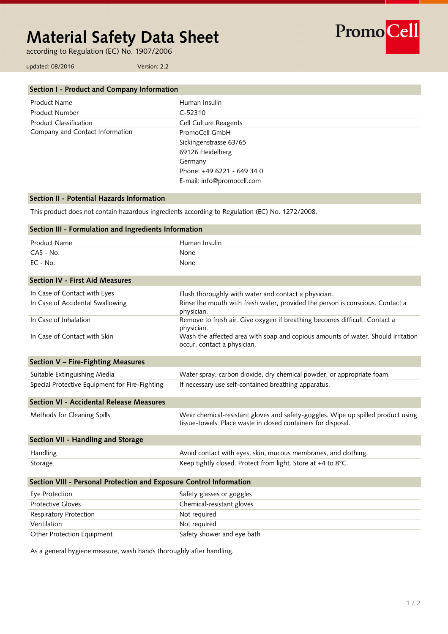# **Material Safety Data Sheet**

according to Regulation (EC) No. 1907/2006

PromoCell

updated: 08/2016 Version: 2.2

| Section I - Product and Company Information |                            |  |
|---------------------------------------------|----------------------------|--|
| Product Name                                | Human Insulin              |  |
| <b>Product Number</b>                       | $C-52310$                  |  |
| <b>Product Classification</b>               | Cell Culture Reagents      |  |
| Company and Contact Information             | PromoCell GmbH             |  |
|                                             | Sickingenstrasse 63/65     |  |
|                                             | 69126 Heidelberg           |  |
|                                             | Germany                    |  |
|                                             | Phone: +49 6221 - 649 34 0 |  |
|                                             | E-mail: info@promocell.com |  |

# **Section II - Potential Hazards Information**

This product does not contain hazardous ingredients according to Regulation (EC) No. 1272/2008.

| Section III - Formulation and Ingredients Information               |                                                                                                                                                   |  |
|---------------------------------------------------------------------|---------------------------------------------------------------------------------------------------------------------------------------------------|--|
| <b>Product Name</b>                                                 | Human Insulin                                                                                                                                     |  |
| CAS - No.                                                           | None                                                                                                                                              |  |
| $EC - No.$                                                          | None                                                                                                                                              |  |
| <b>Section IV - First Aid Measures</b>                              |                                                                                                                                                   |  |
| In Case of Contact with Eyes                                        | Flush thoroughly with water and contact a physician.                                                                                              |  |
| In Case of Accidental Swallowing                                    | Rinse the mouth with fresh water, provided the person is conscious. Contact a<br>physician.                                                       |  |
| In Case of Inhalation                                               | Remove to fresh air. Give oxygen if breathing becomes difficult. Contact a<br>physician.                                                          |  |
| In Case of Contact with Skin                                        | Wash the affected area with soap and copious amounts of water. Should irritation<br>occur, contact a physician.                                   |  |
| Section V - Fire-Fighting Measures                                  |                                                                                                                                                   |  |
| Suitable Extinguishing Media                                        | Water spray, carbon dioxide, dry chemical powder, or appropriate foam.                                                                            |  |
| Special Protective Equipment for Fire-Fighting                      | If necessary use self-contained breathing apparatus.                                                                                              |  |
| Section VI - Accidental Release Measures                            |                                                                                                                                                   |  |
| Methods for Cleaning Spills                                         | Wear chemical-resistant gloves and safety-goggles. Wipe up spilled product using<br>tissue-towels. Place waste in closed containers for disposal. |  |
| Section VII - Handling and Storage                                  |                                                                                                                                                   |  |
| Handling                                                            | Avoid contact with eyes, skin, mucous membranes, and clothing.                                                                                    |  |
| Storage                                                             | Keep tightly closed. Protect from light. Store at +4 to 8°C.                                                                                      |  |
| Section VIII - Personal Protection and Exposure Control Information |                                                                                                                                                   |  |
| Eye Protection                                                      | Safety glasses or goggles                                                                                                                         |  |
| <b>Protective Gloves</b>                                            | Chemical-resistant gloves                                                                                                                         |  |
| Respiratory Protection                                              | Not required                                                                                                                                      |  |
| Ventilation                                                         | Not required                                                                                                                                      |  |
| Other Protection Equipment                                          | Safety shower and eye bath                                                                                                                        |  |

As a general hygiene measure, wash hands thoroughly after handling.